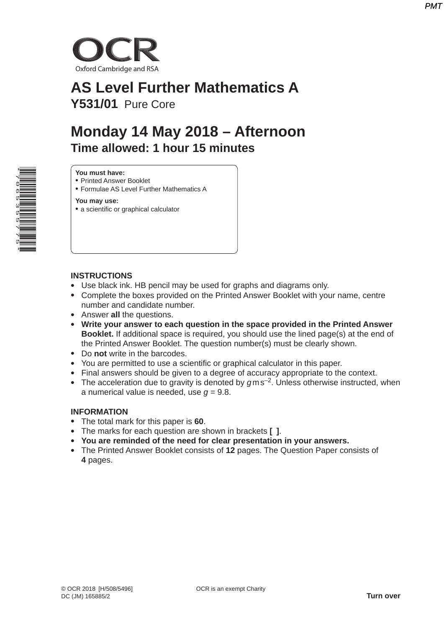

# **AS Level Further Mathematics A Y531/01** Pure Core

# **Monday 14 May 2018 – Afternoon Time allowed: 1 hour 15 minutes**



#### **You must have:**

- Printed Answer Booklet
- Formulae AS Level Further Mathematics A

**You may use:**

• a scientific or graphical calculator

#### **INSTRUCTIONS**

- Use black ink. HB pencil may be used for graphs and diagrams only.
- Complete the boxes provided on the Printed Answer Booklet with your name, centre number and candidate number.
- Answer **all** the questions.
- **Write your answer to each question in the space provided in the Printed Answer Booklet.** If additional space is required, you should use the lined page(s) at the end of the Printed Answer Booklet. The question number(s) must be clearly shown.
- Do **not** write in the barcodes.
- You are permitted to use a scientific or graphical calculator in this paper.
- Final answers should be given to a degree of accuracy appropriate to the context.
- The acceleration due to gravity is denoted by  $qms^{-2}$ . Unless otherwise instructed, when a numerical value is needed, use  $q = 9.8$ .

#### **INFORMATION**

- The total mark for this paper is **60**.
- The marks for each question are shown in brackets **[ ]**.
- **You are reminded of the need for clear presentation in your answers.**
- The Printed Answer Booklet consists of **12** pages. The Question Paper consists of **4** pages.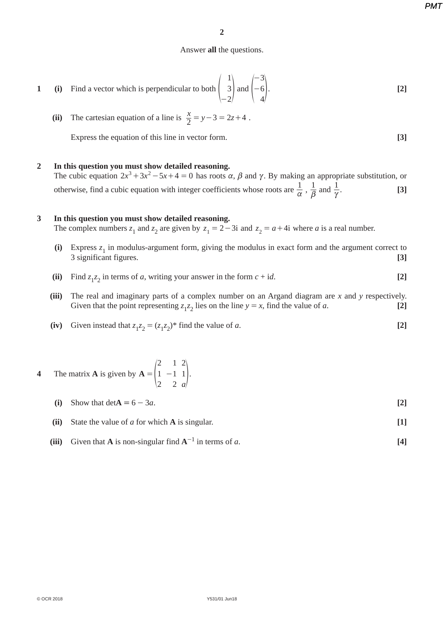*PMT*

### Answer **all** the questions.

1 (i) Find a vector which is perpendicular to both 
$$
\begin{pmatrix} 1 \\ 3 \\ -2 \end{pmatrix}
$$
 and  $\begin{pmatrix} -3 \\ -6 \\ 4 \end{pmatrix}$ . [2]

(ii) The cartesian equation of a line is 
$$
\frac{x}{2} = y - 3 = 2z + 4
$$
.

Express the equation of this line in vector form. **[3]**

## **2 In this question you must show detailed reasoning.**

The cubic equation  $2x^3 + 3x^2 - 5x + 4 = 0$  has roots  $\alpha$ ,  $\beta$  and  $\gamma$ . By making an appropriate substitution, or otherwise, find a cubic equation with integer coefficients whose roots are  $\frac{1}{\alpha}$ ,  $\frac{1}{\beta}$  and  $\frac{1}{\gamma}$  $\frac{1}{\gamma}$ . [3]

#### **3 In this question you must show detailed reasoning.**

The complex numbers  $z_1$  and  $z_2$  are given by  $z_1 = 2 - 3i$  and  $z_2 = a + 4i$  where *a* is a real number.

- (i) Express  $z_1$  in modulus-argument form, giving the modulus in exact form and the argument correct to 3 significant figures. 3 significant figures. **[3]**
- (ii) Find  $z_1z_2$  in terms of *a*, writing your answer in the form  $c + id$ . [2]
- **(iii)** The real and imaginary parts of a complex number on an Argand diagram are *x* and *y* respectively. Given that the point representing  $z_1z_2$  lies on the line  $y = x$ , find the value of *a*. [2]
- (iv) Given instead that  $z_1z_2 = (z_1z_2)^*$  find the value of *a*. [2]

#### **4** The matrix **A** is given by *a* **A** 2 1 2 1 2 2  $= |1 -11|.$

- **(i)** Show that  $\det A = 6 3a$ . **[2]**
- **(ii)** State the value of *a* for which **A** is singular. **[1]**
- **(iii)** Given that **A** is non-singular find  $A^{-1}$  in terms of *a*. [4]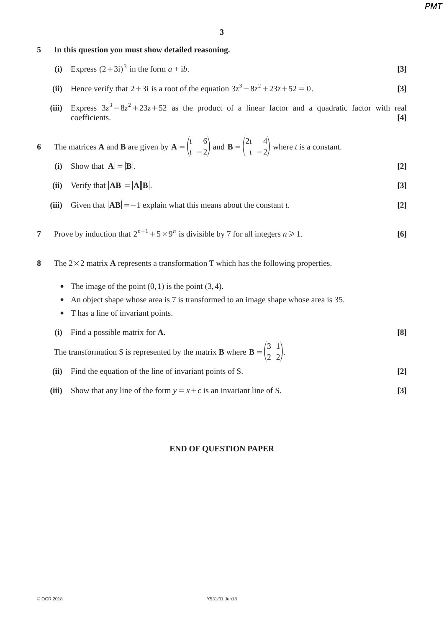*PMT*

### **5 In this question you must show detailed reasoning.**

- **(i)** Express  $(2+3i)^3$  in the form  $a + ib$ . [3]
- **(ii)** Hence verify that  $2 + 3i$  is a root of the equation  $3z^3 8z^2 + 23z + 52 = 0$ . [3]
- (iii) Express  $3z^3 8z^2 + 23z + 52$  as the product of a linear factor and a quadratic factor with real coefficients. **[4]**
- **6** The matrices **A** and **B** are given by  $A = \begin{pmatrix} t & 6 \\ t & -2 \end{pmatrix}$  and  $B = \begin{pmatrix} 2t & 4 \\ t & -2 \end{pmatrix}$  where *t* is a constant.
	- **(i)** Show that  $|A| = |B|$ . [2]
	- (ii) Verify that  $|\mathbf{AB}| = |\mathbf{A}||\mathbf{B}|$ . [3]
	- **(iii)** Given that  $|AB| = -1$  explain what this means about the constant *t*. [2]
- **7** Prove by induction that  $2^{n+1} + 5 \times 9^n$  is divisible by 7 for all integers  $n \ge 1$ . [6]
- **8** The  $2 \times 2$  matrix **A** represents a transformation T which has the following properties.
	- The image of the point  $(0, 1)$  is the point  $(3, 4)$ .
	- An object shape whose area is 7 is transformed to an image shape whose area is 35.
	- Thas a line of invariant points.
	- **(i)** Find a possible matrix for **A**. **[8]**

The transformation S is represented by the matrix **B** where **B** =  $\begin{pmatrix} 3 \\ 2 \end{pmatrix}$  $=\begin{pmatrix} 3 & 1 \\ 2 & 2 \end{pmatrix}$ .

- **(ii)** Find the equation of the line of invariant points of S. **[2]**
- **(iii)** Show that any line of the form  $y = x + c$  is an invariant line of S. [3]

## **END OF QUESTION PAPER**